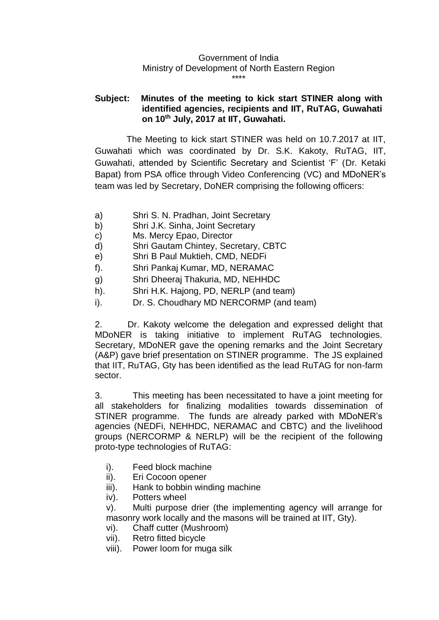## Government of India Ministry of Development of North Eastern Region \*\*\*\*

## **Subject: Minutes of the meeting to kick start STINER along with identified agencies, recipients and IIT, RuTAG, Guwahati on 10th July, 2017 at IIT, Guwahati.**

The Meeting to kick start STINER was held on 10.7.2017 at IIT, Guwahati which was coordinated by Dr. S.K. Kakoty, RuTAG, IIT, Guwahati, attended by Scientific Secretary and Scientist 'F' (Dr. Ketaki Bapat) from PSA office through Video Conferencing (VC) and MDoNER's team was led by Secretary, DoNER comprising the following officers:

- a) Shri S. N. Pradhan, Joint Secretary
- b) Shri J.K. Sinha, Joint Secretary
- c) Ms. Mercy Epao, Director
- d) Shri Gautam Chintey, Secretary, CBTC
- e) Shri B Paul Muktieh, CMD, NEDFi
- f). Shri Pankaj Kumar, MD, NERAMAC
- g) Shri Dheeraj Thakuria, MD, NEHHDC
- h). Shri H.K. Hajong, PD, NERLP (and team)
- i). Dr. S. Choudhary MD NERCORMP (and team)

2. Dr. Kakoty welcome the delegation and expressed delight that MDoNER is taking initiative to implement RuTAG technologies. Secretary, MDoNER gave the opening remarks and the Joint Secretary (A&P) gave brief presentation on STINER programme. The JS explained that IIT, RuTAG, Gty has been identified as the lead RuTAG for non-farm sector.

3. This meeting has been necessitated to have a joint meeting for all stakeholders for finalizing modalities towards dissemination of STINER programme. The funds are already parked with MDoNER's agencies (NEDFi, NEHHDC, NERAMAC and CBTC) and the livelihood groups (NERCORMP & NERLP) will be the recipient of the following proto-type technologies of RuTAG:

- i). Feed block machine
- ii). Eri Cocoon opener
- iii). Hank to bobbin winding machine
- iv). Potters wheel

v). Multi purpose drier (the implementing agency will arrange for masonry work locally and the masons will be trained at IIT, Gty).

- vi). Chaff cutter (Mushroom)
- vii). Retro fitted bicycle
- viii). Power loom for muga silk